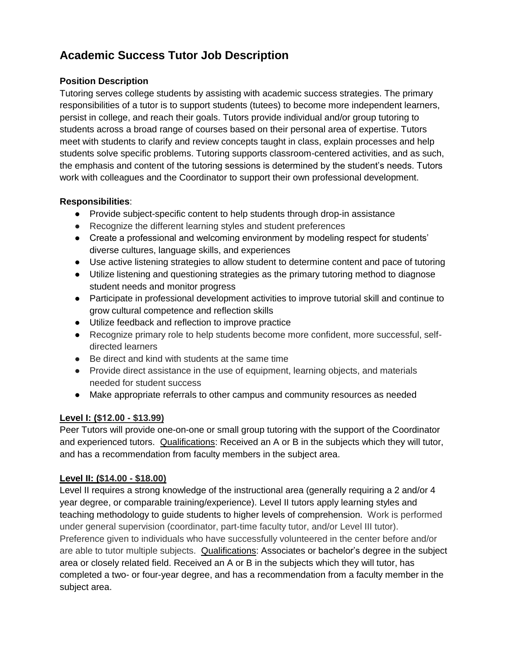# **Academic Success Tutor Job Description**

## **Position Description**

Tutoring serves college students by assisting with academic success strategies. The primary responsibilities of a tutor is to support students (tutees) to become more independent learners, persist in college, and reach their goals. Tutors provide individual and/or group tutoring to students across a broad range of courses based on their personal area of expertise. Tutors meet with students to clarify and review concepts taught in class, explain processes and help students solve specific problems. Tutoring supports classroom-centered activities, and as such, the emphasis and content of the tutoring sessions is determined by the student's needs. Tutors work with colleagues and the Coordinator to support their own professional development.

## **Responsibilities**:

- Provide subject-specific content to help students through drop-in assistance
- Recognize the different learning styles and student preferences
- Create a professional and welcoming environment by modeling respect for students' diverse cultures, language skills, and experiences
- Use active listening strategies to allow student to determine content and pace of tutoring
- Utilize listening and questioning strategies as the primary tutoring method to diagnose student needs and monitor progress
- Participate in professional development activities to improve tutorial skill and continue to grow cultural competence and reflection skills
- Utilize feedback and reflection to improve practice
- Recognize primary role to help students become more confident, more successful, selfdirected learners
- Be direct and kind with students at the same time
- Provide direct assistance in the use of equipment, learning objects, and materials needed for student success
- Make appropriate referrals to other campus and community resources as needed

#### **Level I: (\$12.00 - \$13.99)**

Peer Tutors will provide one-on-one or small group tutoring with the support of the Coordinator and experienced tutors. Qualifications: Received an A or B in the subjects which they will tutor, and has a recommendation from faculty members in the subject area.

#### **Level II: (\$14.00 - \$18.00)**

Level II requires a strong knowledge of the instructional area (generally requiring a 2 and/or 4 year degree, or comparable training/experience). Level II tutors apply learning styles and teaching methodology to guide students to higher levels of comprehension. Work is performed under general supervision (coordinator, part-time faculty tutor, and/or Level III tutor). Preference given to individuals who have successfully volunteered in the center before and/or are able to tutor multiple subjects. Qualifications: Associates or bachelor's degree in the subject area or closely related field. Received an A or B in the subjects which they will tutor, has completed a two- or four-year degree, and has a recommendation from a faculty member in the subject area.